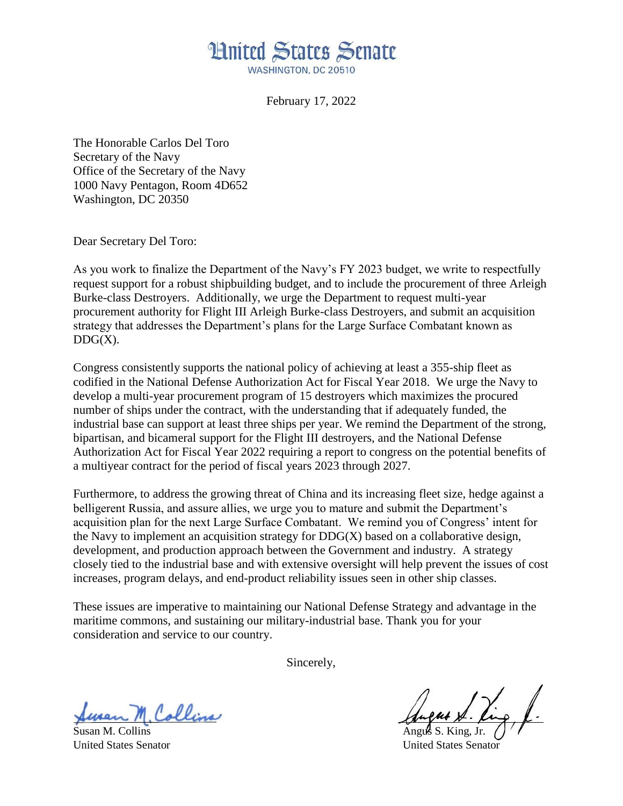## **Hnited States Senate** WASHINGTON, DC 20510

February 17, 2022

The Honorable Carlos Del Toro Secretary of the Navy Office of the Secretary of the Navy 1000 Navy Pentagon, Room 4D652 Washington, DC 20350

Dear Secretary Del Toro:

As you work to finalize the Department of the Navy's FY 2023 budget, we write to respectfully request support for a robust shipbuilding budget, and to include the procurement of three Arleigh Burke-class Destroyers. Additionally, we urge the Department to request multi-year procurement authority for Flight III Arleigh Burke-class Destroyers, and submit an acquisition strategy that addresses the Department's plans for the Large Surface Combatant known as  $DDG(X)$ .

Congress consistently supports the national policy of achieving at least a 355-ship fleet as codified in the National Defense Authorization Act for Fiscal Year 2018. We urge the Navy to develop a multi-year procurement program of 15 destroyers which maximizes the procured number of ships under the contract, with the understanding that if adequately funded, the industrial base can support at least three ships per year. We remind the Department of the strong, bipartisan, and bicameral support for the Flight III destroyers, and the National Defense Authorization Act for Fiscal Year 2022 requiring a report to congress on the potential benefits of a multiyear contract for the period of fiscal years 2023 through 2027.

Furthermore, to address the growing threat of China and its increasing fleet size, hedge against a belligerent Russia, and assure allies, we urge you to mature and submit the Department's acquisition plan for the next Large Surface Combatant. We remind you of Congress' intent for the Navy to implement an acquisition strategy for  $DDG(X)$  based on a collaborative design, development, and production approach between the Government and industry. A strategy closely tied to the industrial base and with extensive oversight will help prevent the issues of cost increases, program delays, and end-product reliability issues seen in other ship classes.

These issues are imperative to maintaining our National Defense Strategy and advantage in the maritime commons, and sustaining our military-industrial base. Thank you for your consideration and service to our country.

Sincerely,

Collins

Susan M. Collins

United States Senator United States Senator